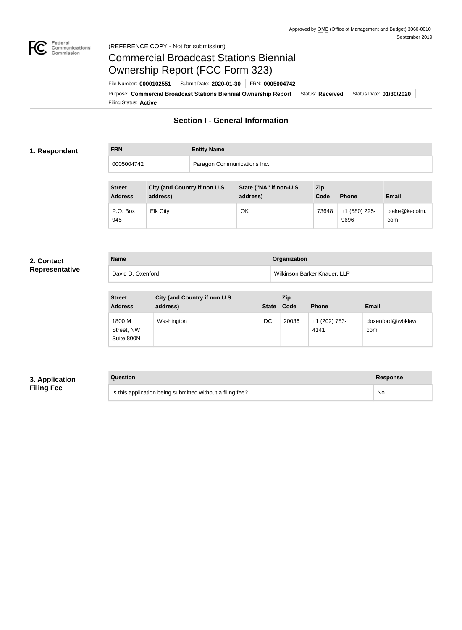

#### Federal<br>Communications<br>Commission (REFERENCE COPY - Not for submission)

# Commercial Broadcast Stations Biennial Ownership Report (FCC Form 323)

Filing Status: **Active** Purpose: Commercial Broadcast Stations Biennial Ownership Report Status: Received Status Date: 01/30/2020 File Number: **0000102551** Submit Date: **2020-01-30** FRN: **0005004742**

## **Section I - General Information**

#### **1. Respondent**

**FRN Entity Name** 0005004742 Paragon Communications Inc.

| <b>Street</b><br><b>Address</b> | City (and Country if non U.S.<br>address) | State ("NA" if non-U.S.<br>address) | <b>Zip</b><br>Code | <b>Phone</b>          | <b>Email</b>         |
|---------------------------------|-------------------------------------------|-------------------------------------|--------------------|-----------------------|----------------------|
| P.O. Box<br>945                 | <b>Elk City</b>                           | OK                                  | 73648              | +1 (580) 225-<br>9696 | blake@kecofm.<br>com |

#### **2. Contact Representative**

| <b>Name</b>       | <b>Organization</b>          |
|-------------------|------------------------------|
| David D. Oxenford | Wilkinson Barker Knauer, LLP |

| <b>Street</b><br><b>Address</b>    | City (and Country if non U.S.<br>address) | <b>State</b> | <b>Zip</b><br>Code | <b>Phone</b>            | <b>Email</b>             |
|------------------------------------|-------------------------------------------|--------------|--------------------|-------------------------|--------------------------|
| 1800 M<br>Street, NW<br>Suite 800N | Washington                                | DC           | 20036              | $+1$ (202) 783-<br>4141 | doxenford@wbklaw.<br>com |

#### **3. Application Filing Fee**

### **Question Response**

Is this application being submitted without a filing fee? No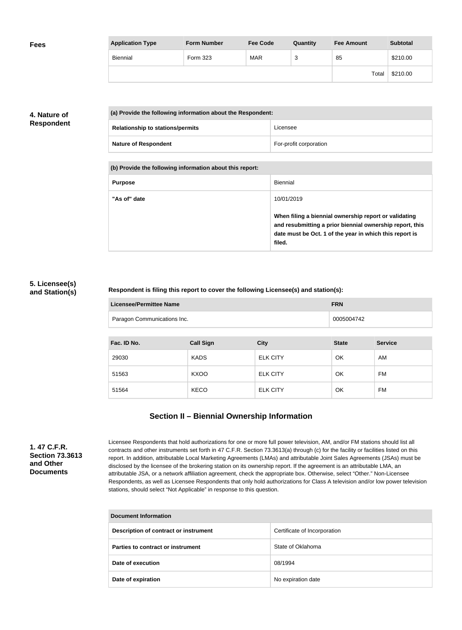| <b>Fees</b> | <b>Application Type</b> | <b>Form Number</b> | <b>Fee Code</b> | Quantity | <b>Fee Amount</b> | <b>Subtotal</b> |
|-------------|-------------------------|--------------------|-----------------|----------|-------------------|-----------------|
|             | Biennial                | Form 323           | <b>MAR</b>      | っ<br>ັບ  | 85                | \$210.00        |
|             |                         |                    |                 |          | Total             | \$210.00        |

### **4. Nature of Respondent**

| (a) Provide the following information about the Respondent: |                        |  |
|-------------------------------------------------------------|------------------------|--|
| <b>Relationship to stations/permits</b>                     | Licensee               |  |
| <b>Nature of Respondent</b>                                 | For-profit corporation |  |

**(b) Provide the following information about this report:**

| <b>Purpose</b> | Biennial                                                                                                                                                                               |
|----------------|----------------------------------------------------------------------------------------------------------------------------------------------------------------------------------------|
| "As of" date   | 10/01/2019                                                                                                                                                                             |
|                | When filing a biennial ownership report or validating<br>and resubmitting a prior biennial ownership report, this<br>date must be Oct. 1 of the year in which this report is<br>filed. |

#### **5. Licensee(s) and Station(s)**

#### **Respondent is filing this report to cover the following Licensee(s) and station(s):**

| Licensee/Permittee Name     | <b>FRN</b> |
|-----------------------------|------------|
| Paragon Communications Inc. | 0005004742 |

| Fac. ID No. | <b>Call Sign</b> | <b>City</b>     | <b>State</b> | <b>Service</b> |
|-------------|------------------|-----------------|--------------|----------------|
| 29030       | <b>KADS</b>      | <b>ELK CITY</b> | OK           | AM             |
| 51563       | <b>KXOO</b>      | <b>ELK CITY</b> | OK           | FM             |
| 51564       | <b>KECO</b>      | <b>ELK CITY</b> | OK           | FM             |

## **Section II – Biennial Ownership Information**

**1. 47 C.F.R. Section 73.3613 and Other Documents**

Licensee Respondents that hold authorizations for one or more full power television, AM, and/or FM stations should list all contracts and other instruments set forth in 47 C.F.R. Section 73.3613(a) through (c) for the facility or facilities listed on this report. In addition, attributable Local Marketing Agreements (LMAs) and attributable Joint Sales Agreements (JSAs) must be disclosed by the licensee of the brokering station on its ownership report. If the agreement is an attributable LMA, an attributable JSA, or a network affiliation agreement, check the appropriate box. Otherwise, select "Other." Non-Licensee Respondents, as well as Licensee Respondents that only hold authorizations for Class A television and/or low power television stations, should select "Not Applicable" in response to this question.

| <b>Document Information</b>           |                              |  |  |
|---------------------------------------|------------------------------|--|--|
| Description of contract or instrument | Certificate of Incorporation |  |  |
| Parties to contract or instrument     | State of Oklahoma            |  |  |
| Date of execution                     | 08/1994                      |  |  |
| Date of expiration                    | No expiration date           |  |  |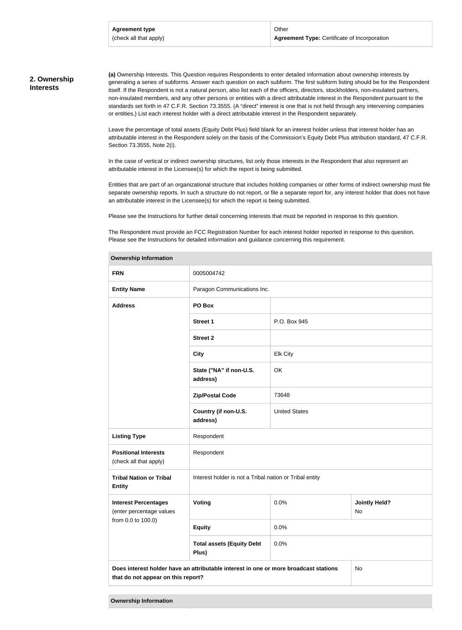#### **2. Ownership Interests**

**(a)** Ownership Interests. This Question requires Respondents to enter detailed information about ownership interests by generating a series of subforms. Answer each question on each subform. The first subform listing should be for the Respondent itself. If the Respondent is not a natural person, also list each of the officers, directors, stockholders, non-insulated partners, non-insulated members, and any other persons or entities with a direct attributable interest in the Respondent pursuant to the standards set forth in 47 C.F.R. Section 73.3555. (A "direct" interest is one that is not held through any intervening companies or entities.) List each interest holder with a direct attributable interest in the Respondent separately.

Leave the percentage of total assets (Equity Debt Plus) field blank for an interest holder unless that interest holder has an attributable interest in the Respondent solely on the basis of the Commission's Equity Debt Plus attribution standard, 47 C.F.R. Section 73.3555, Note 2(i).

In the case of vertical or indirect ownership structures, list only those interests in the Respondent that also represent an attributable interest in the Licensee(s) for which the report is being submitted.

Entities that are part of an organizational structure that includes holding companies or other forms of indirect ownership must file separate ownership reports. In such a structure do not report, or file a separate report for, any interest holder that does not have an attributable interest in the Licensee(s) for which the report is being submitted.

Please see the Instructions for further detail concerning interests that must be reported in response to this question.

The Respondent must provide an FCC Registration Number for each interest holder reported in response to this question. Please see the Instructions for detailed information and guidance concerning this requirement.

| <b>FRN</b>                                                                                                                       | 0005004742                                              |                      |                            |  |
|----------------------------------------------------------------------------------------------------------------------------------|---------------------------------------------------------|----------------------|----------------------------|--|
| <b>Entity Name</b>                                                                                                               | Paragon Communications Inc.                             |                      |                            |  |
| <b>Address</b>                                                                                                                   | PO Box                                                  |                      |                            |  |
|                                                                                                                                  | <b>Street 1</b>                                         | P.O. Box 945         |                            |  |
|                                                                                                                                  | <b>Street 2</b>                                         |                      |                            |  |
|                                                                                                                                  | <b>City</b>                                             | <b>Elk City</b>      |                            |  |
|                                                                                                                                  | State ("NA" if non-U.S.<br>address)                     | OK                   |                            |  |
|                                                                                                                                  | <b>Zip/Postal Code</b>                                  | 73648                |                            |  |
|                                                                                                                                  | Country (if non-U.S.<br>address)                        | <b>United States</b> |                            |  |
| <b>Listing Type</b>                                                                                                              | Respondent                                              |                      |                            |  |
| <b>Positional Interests</b><br>(check all that apply)                                                                            | Respondent                                              |                      |                            |  |
| <b>Tribal Nation or Tribal</b><br><b>Entity</b>                                                                                  | Interest holder is not a Tribal nation or Tribal entity |                      |                            |  |
| <b>Interest Percentages</b><br>(enter percentage values                                                                          | Voting                                                  | 0.0%                 | <b>Jointly Held?</b><br>No |  |
| from 0.0 to 100.0)                                                                                                               | <b>Equity</b>                                           | 0.0%                 |                            |  |
|                                                                                                                                  | <b>Total assets (Equity Debt</b><br>Plus)               | 0.0%                 |                            |  |
| Does interest holder have an attributable interest in one or more broadcast stations<br>No<br>that do not appear on this report? |                                                         |                      |                            |  |
|                                                                                                                                  |                                                         |                      |                            |  |

**Ownership Information**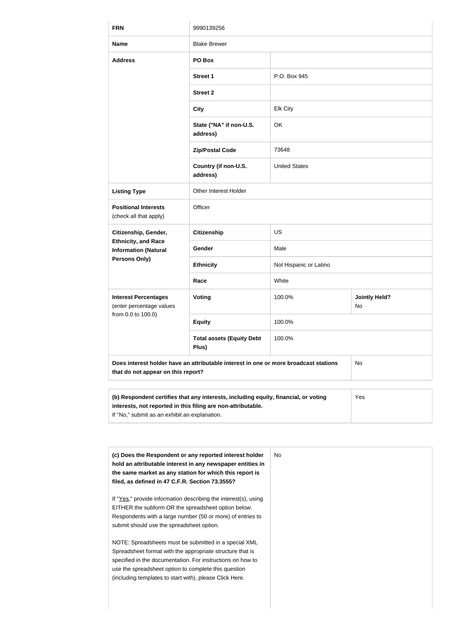| <b>FRN</b>                                                | 9990139256                                                                           |                        |                                   |  |
|-----------------------------------------------------------|--------------------------------------------------------------------------------------|------------------------|-----------------------------------|--|
| <b>Name</b>                                               | <b>Blake Brewer</b>                                                                  |                        |                                   |  |
| <b>Address</b>                                            | PO Box                                                                               |                        |                                   |  |
|                                                           | <b>Street 1</b>                                                                      | P.O. Box 945           |                                   |  |
|                                                           | <b>Street 2</b>                                                                      |                        |                                   |  |
|                                                           | <b>City</b>                                                                          | <b>Elk City</b>        |                                   |  |
|                                                           | State ("NA" if non-U.S.<br>address)                                                  | OK                     |                                   |  |
|                                                           | <b>Zip/Postal Code</b>                                                               | 73648                  |                                   |  |
|                                                           | Country (if non-U.S.<br>address)                                                     | <b>United States</b>   |                                   |  |
| <b>Listing Type</b>                                       | Other Interest Holder                                                                |                        |                                   |  |
| <b>Positional Interests</b><br>(check all that apply)     | Officer                                                                              |                        |                                   |  |
| Citizenship, Gender,                                      | <b>Citizenship</b>                                                                   | <b>US</b>              |                                   |  |
| <b>Ethnicity, and Race</b><br><b>Information (Natural</b> | Gender                                                                               | Male                   |                                   |  |
| Persons Only)                                             | <b>Ethnicity</b>                                                                     | Not Hispanic or Latino |                                   |  |
|                                                           | Race                                                                                 | White                  |                                   |  |
| <b>Interest Percentages</b><br>(enter percentage values   | <b>Voting</b>                                                                        | 100.0%                 | <b>Jointly Held?</b><br><b>No</b> |  |
| from 0.0 to 100.0)                                        | <b>Equity</b>                                                                        | 100.0%                 |                                   |  |
|                                                           | <b>Total assets (Equity Debt</b><br>Plus)                                            | 100.0%                 |                                   |  |
| that do not appear on this report?                        | Does interest holder have an attributable interest in one or more broadcast stations |                        | No                                |  |
|                                                           |                                                                                      |                        |                                   |  |

| (b) Respondent certifies that any interests, including equity, financial, or voting | Yes |
|-------------------------------------------------------------------------------------|-----|
| interests, not reported in this filing are non-attributable.                        |     |
| If "No," submit as an exhibit an explanation.                                       |     |

| (c) Does the Respondent or any reported interest holder<br>hold an attributable interest in any newspaper entities in | No. |
|-----------------------------------------------------------------------------------------------------------------------|-----|
| the same market as any station for which this report is                                                               |     |
| filed, as defined in 47 C.F.R. Section 73.3555?                                                                       |     |
| If "Yes," provide information describing the interest(s), using                                                       |     |
| EITHER the subform OR the spreadsheet option below.                                                                   |     |
| Respondents with a large number (50 or more) of entries to                                                            |     |
| submit should use the spreadsheet option.                                                                             |     |
| NOTE: Spreadsheets must be submitted in a special XML                                                                 |     |
| Spreadsheet format with the appropriate structure that is                                                             |     |
| specified in the documentation. For instructions on how to                                                            |     |
| use the spreadsheet option to complete this question                                                                  |     |
| (including templates to start with), please Click Here.                                                               |     |
|                                                                                                                       |     |
|                                                                                                                       |     |
|                                                                                                                       |     |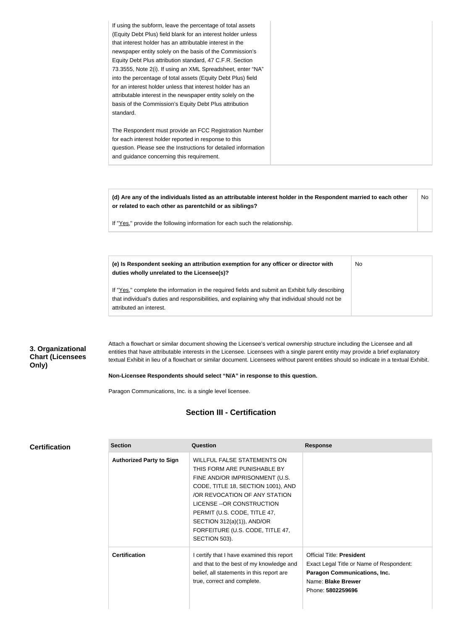| If using the subform, leave the percentage of total assets     |
|----------------------------------------------------------------|
| (Equity Debt Plus) field blank for an interest holder unless   |
| that interest holder has an attributable interest in the       |
| newspaper entity solely on the basis of the Commission's       |
| Equity Debt Plus attribution standard, 47 C.F.R. Section       |
| 73.3555, Note 2(i). If using an XML Spreadsheet, enter "NA"    |
| into the percentage of total assets (Equity Debt Plus) field   |
| for an interest holder unless that interest holder has an      |
| attributable interest in the newspaper entity solely on the    |
| basis of the Commission's Equity Debt Plus attribution         |
| standard.                                                      |
|                                                                |
| The Respondent must provide an FCC Registration Number         |
| for each interest holder reported in response to this          |
| question. Please see the Instructions for detailed information |
| and guidance concerning this requirement.                      |
|                                                                |

**(d) Are any of the individuals listed as an attributable interest holder in the Respondent married to each other or related to each other as parentchild or as siblings?** No

No

If "Yes," provide the following information for each such the relationship.

**(e) Is Respondent seeking an attribution exemption for any officer or director with duties wholly unrelated to the Licensee(s)?**

If "Yes," complete the information in the required fields and submit an Exhibit fully describing that individual's duties and responsibilities, and explaining why that individual should not be attributed an interest.

#### **3. Organizational Chart (Licensees Only)**

Attach a flowchart or similar document showing the Licensee's vertical ownership structure including the Licensee and all entities that have attributable interests in the Licensee. Licensees with a single parent entity may provide a brief explanatory textual Exhibit in lieu of a flowchart or similar document. Licensees without parent entities should so indicate in a textual Exhibit.

#### **Non-Licensee Respondents should select "N/A" in response to this question.**

Paragon Communications, Inc. is a single level licensee.

#### **Section III - Certification**

| <b>Certification</b> |
|----------------------|
|----------------------|

| <b>Section</b>                  | Question                                                                                                                                                                                                                                                                                                                    | <b>Response</b>                                                                                                                                                |
|---------------------------------|-----------------------------------------------------------------------------------------------------------------------------------------------------------------------------------------------------------------------------------------------------------------------------------------------------------------------------|----------------------------------------------------------------------------------------------------------------------------------------------------------------|
| <b>Authorized Party to Sign</b> | <b>WILLFUL FALSE STATEMENTS ON</b><br>THIS FORM ARE PUNISHABLE BY<br>FINE AND/OR IMPRISONMENT (U.S.<br>CODE, TITLE 18, SECTION 1001), AND<br>/OR REVOCATION OF ANY STATION<br>LICENSE -- OR CONSTRUCTION<br>PERMIT (U.S. CODE, TITLE 47,<br>SECTION 312(a)(1)), AND/OR<br>FORFEITURE (U.S. CODE, TITLE 47,<br>SECTION 503). |                                                                                                                                                                |
| <b>Certification</b>            | I certify that I have examined this report<br>and that to the best of my knowledge and<br>belief, all statements in this report are<br>true, correct and complete.                                                                                                                                                          | <b>Official Title: President</b><br>Exact Legal Title or Name of Respondent:<br><b>Paragon Communications, Inc.</b><br>Name: Blake Brewer<br>Phone: 5802259696 |